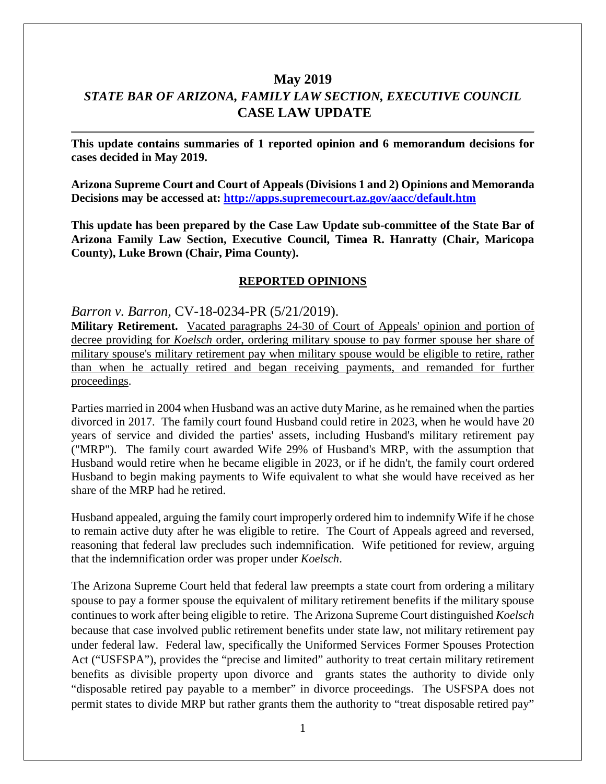# **May 2019** *STATE BAR OF ARIZONA, FAMILY LAW SECTION, EXECUTIVE COUNCIL* **CASE LAW UPDATE**

**This update contains summaries of 1 reported opinion and 6 memorandum decisions for cases decided in May 2019.**

**Arizona Supreme Court and Court of Appeals (Divisions 1 and 2) Opinions and Memoranda Decisions may be accessed at: <http://apps.supremecourt.az.gov/aacc/default.htm>**

**This update has been prepared by the Case Law Update sub-committee of the State Bar of Arizona Family Law Section, Executive Council, Timea R. Hanratty (Chair, Maricopa County), Luke Brown (Chair, Pima County).**

#### **REPORTED OPINIONS**

*Barron v. Barron*, CV-18-0234-PR (5/21/2019).

**Military Retirement.** Vacated paragraphs 24-30 of Court of Appeals' opinion and portion of decree providing for *Koelsch* order, ordering military spouse to pay former spouse her share of military spouse's military retirement pay when military spouse would be eligible to retire, rather than when he actually retired and began receiving payments, and remanded for further proceedings.

Parties married in 2004 when Husband was an active duty Marine, as he remained when the parties divorced in 2017. The family court found Husband could retire in 2023, when he would have 20 years of service and divided the parties' assets, including Husband's military retirement pay ("MRP"). The family court awarded Wife 29% of Husband's MRP, with the assumption that Husband would retire when he became eligible in 2023, or if he didn't, the family court ordered Husband to begin making payments to Wife equivalent to what she would have received as her share of the MRP had he retired.

Husband appealed, arguing the family court improperly ordered him to indemnify Wife if he chose to remain active duty after he was eligible to retire. The Court of Appeals agreed and reversed, reasoning that federal law precludes such indemnification. Wife petitioned for review, arguing that the indemnification order was proper under *Koelsch*.

The Arizona Supreme Court held that federal law preempts a state court from ordering a military spouse to pay a former spouse the equivalent of military retirement benefits if the military spouse continues to work after being eligible to retire. The Arizona Supreme Court distinguished *Koelsch* because that case involved public retirement benefits under state law, not military retirement pay under federal law. Federal law, specifically the Uniformed Services Former Spouses Protection Act ("USFSPA"), provides the "precise and limited" authority to treat certain military retirement benefits as divisible property upon divorce and grants states the authority to divide only "disposable retired pay payable to a member" in divorce proceedings. The USFSPA does not permit states to divide MRP but rather grants them the authority to "treat disposable retired pay"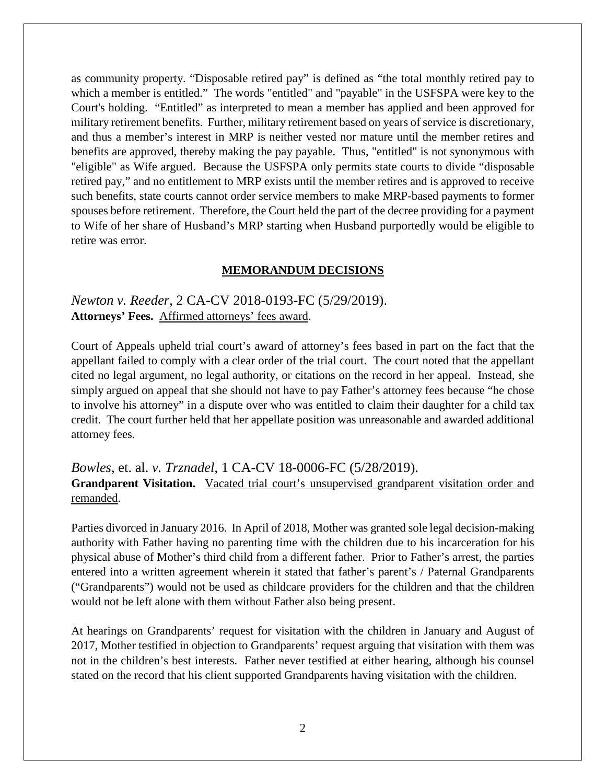as community property. "Disposable retired pay" is defined as "the total monthly retired pay to which a member is entitled." The words "entitled" and "payable" in the USFSPA were key to the Court's holding. "Entitled" as interpreted to mean a member has applied and been approved for military retirement benefits. Further, military retirement based on years of service is discretionary, and thus a member's interest in MRP is neither vested nor mature until the member retires and benefits are approved, thereby making the pay payable. Thus, "entitled" is not synonymous with "eligible" as Wife argued. Because the USFSPA only permits state courts to divide "disposable retired pay," and no entitlement to MRP exists until the member retires and is approved to receive such benefits, state courts cannot order service members to make MRP-based payments to former spouses before retirement. Therefore, the Court held the part of the decree providing for a payment to Wife of her share of Husband's MRP starting when Husband purportedly would be eligible to retire was error.

#### **MEMORANDUM DECISIONS**

### *Newton v. Reeder*, 2 CA-CV 2018-0193-FC (5/29/2019). **Attorneys' Fees.** Affirmed attorneys' fees award.

Court of Appeals upheld trial court's award of attorney's fees based in part on the fact that the appellant failed to comply with a clear order of the trial court. The court noted that the appellant cited no legal argument, no legal authority, or citations on the record in her appeal. Instead, she simply argued on appeal that she should not have to pay Father's attorney fees because "he chose to involve his attorney" in a dispute over who was entitled to claim their daughter for a child tax credit. The court further held that her appellate position was unreasonable and awarded additional attorney fees.

*Bowles,* et. al. *v. Trznadel*, 1 CA-CV 18-0006-FC (5/28/2019).

Grandparent Visitation. Vacated trial court's unsupervised grandparent visitation order and remanded.

Parties divorced in January 2016. In April of 2018, Mother was granted sole legal decision-making authority with Father having no parenting time with the children due to his incarceration for his physical abuse of Mother's third child from a different father. Prior to Father's arrest, the parties entered into a written agreement wherein it stated that father's parent's / Paternal Grandparents ("Grandparents") would not be used as childcare providers for the children and that the children would not be left alone with them without Father also being present.

At hearings on Grandparents' request for visitation with the children in January and August of 2017, Mother testified in objection to Grandparents' request arguing that visitation with them was not in the children's best interests. Father never testified at either hearing, although his counsel stated on the record that his client supported Grandparents having visitation with the children.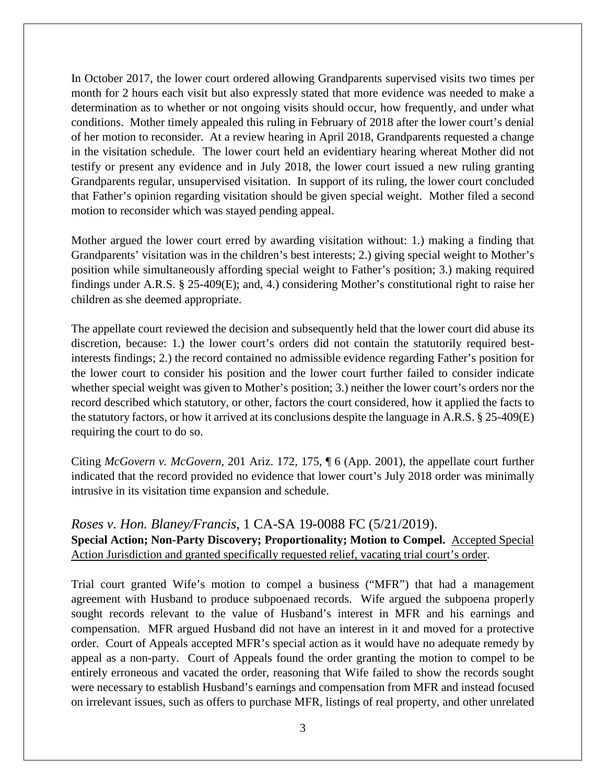In October 2017, the lower court ordered allowing Grandparents supervised visits two times per month for 2 hours each visit but also expressly stated that more evidence was needed to make a determination as to whether or not ongoing visits should occur, how frequently, and under what conditions. Mother timely appealed this ruling in February of 2018 after the lower court's denial of her motion to reconsider. At a review hearing in April 2018, Grandparents requested a change in the visitation schedule. The lower court held an evidentiary hearing whereat Mother did not testify or present any evidence and in July 2018, the lower court issued a new ruling granting Grandparents regular, unsupervised visitation. In support of its ruling, the lower court concluded that Father's opinion regarding visitation should be given special weight. Mother filed a second motion to reconsider which was stayed pending appeal.

Mother argued the lower court erred by awarding visitation without: 1.) making a finding that Grandparents' visitation was in the children's best interests; 2.) giving special weight to Mother's position while simultaneously affording special weight to Father's position; 3.) making required findings under A.R.S. § 25-409(E); and, 4.) considering Mother's constitutional right to raise her children as she deemed appropriate.

The appellate court reviewed the decision and subsequently held that the lower court did abuse its discretion, because: 1.) the lower court's orders did not contain the statutorily required bestinterests findings; 2.) the record contained no admissible evidence regarding Father's position for the lower court to consider his position and the lower court further failed to consider indicate whether special weight was given to Mother's position; 3.) neither the lower court's orders nor the record described which statutory, or other, factors the court considered, how it applied the facts to the statutory factors, or how it arrived at its conclusions despite the language in A.R.S. § 25-409(E) requiring the court to do so.

Citing *McGovern v. McGovern*, 201 Ariz. 172, 175, ¶ 6 (App. 2001), the appellate court further indicated that the record provided no evidence that lower court's July 2018 order was minimally intrusive in its visitation time expansion and schedule.

## *Roses v. Hon. Blaney/Francis*, 1 CA-SA 19-0088 FC (5/21/2019). **Special Action; Non-Party Discovery; Proportionality; Motion to Compel.** Accepted Special Action Jurisdiction and granted specifically requested relief, vacating trial court's order.

Trial court granted Wife's motion to compel a business ("MFR") that had a management agreement with Husband to produce subpoenaed records. Wife argued the subpoena properly sought records relevant to the value of Husband's interest in MFR and his earnings and compensation. MFR argued Husband did not have an interest in it and moved for a protective order. Court of Appeals accepted MFR's special action as it would have no adequate remedy by appeal as a non-party. Court of Appeals found the order granting the motion to compel to be entirely erroneous and vacated the order, reasoning that Wife failed to show the records sought were necessary to establish Husband's earnings and compensation from MFR and instead focused on irrelevant issues, such as offers to purchase MFR, listings of real property, and other unrelated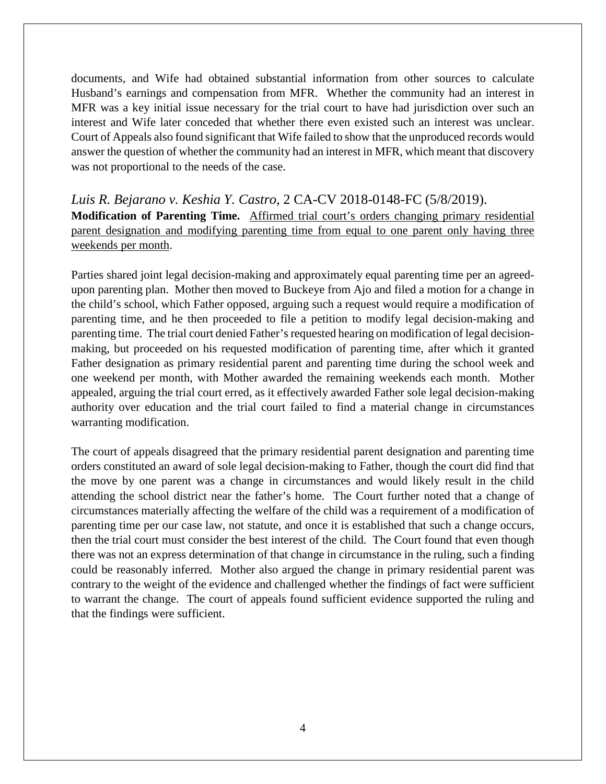documents, and Wife had obtained substantial information from other sources to calculate Husband's earnings and compensation from MFR. Whether the community had an interest in MFR was a key initial issue necessary for the trial court to have had jurisdiction over such an interest and Wife later conceded that whether there even existed such an interest was unclear. Court of Appeals also found significant that Wife failed to show that the unproduced records would answer the question of whether the community had an interest in MFR, which meant that discovery was not proportional to the needs of the case.

*Luis R. Bejarano v. Keshia Y. Castro*, 2 CA-CV 2018-0148-FC (5/8/2019). **Modification of Parenting Time.** Affirmed trial court's orders changing primary residential parent designation and modifying parenting time from equal to one parent only having three weekends per month.

Parties shared joint legal decision-making and approximately equal parenting time per an agreedupon parenting plan. Mother then moved to Buckeye from Ajo and filed a motion for a change in the child's school, which Father opposed, arguing such a request would require a modification of parenting time, and he then proceeded to file a petition to modify legal decision-making and parenting time. The trial court denied Father's requested hearing on modification of legal decisionmaking, but proceeded on his requested modification of parenting time, after which it granted Father designation as primary residential parent and parenting time during the school week and one weekend per month, with Mother awarded the remaining weekends each month. Mother appealed, arguing the trial court erred, as it effectively awarded Father sole legal decision-making authority over education and the trial court failed to find a material change in circumstances warranting modification.

The court of appeals disagreed that the primary residential parent designation and parenting time orders constituted an award of sole legal decision-making to Father, though the court did find that the move by one parent was a change in circumstances and would likely result in the child attending the school district near the father's home. The Court further noted that a change of circumstances materially affecting the welfare of the child was a requirement of a modification of parenting time per our case law, not statute, and once it is established that such a change occurs, then the trial court must consider the best interest of the child. The Court found that even though there was not an express determination of that change in circumstance in the ruling, such a finding could be reasonably inferred. Mother also argued the change in primary residential parent was contrary to the weight of the evidence and challenged whether the findings of fact were sufficient to warrant the change. The court of appeals found sufficient evidence supported the ruling and that the findings were sufficient.